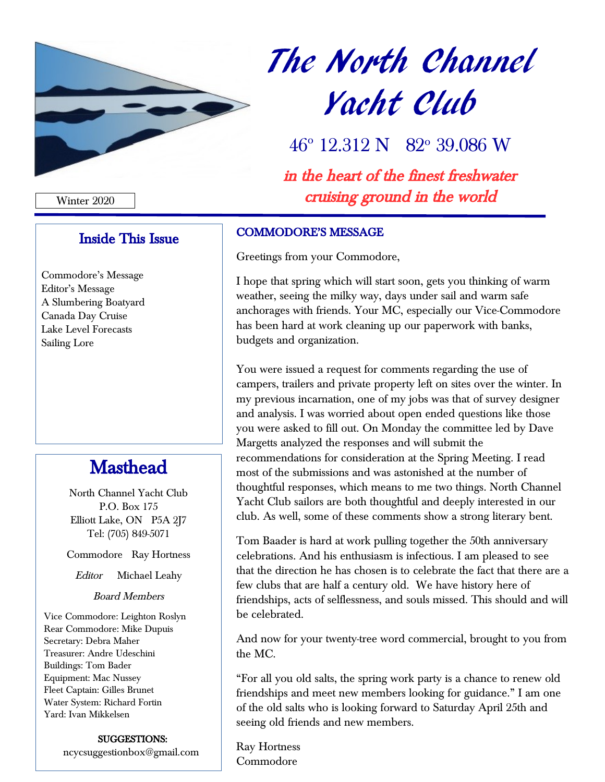

# The North Channel Yacht Club

46° 12.312 N 82° 39.086 W

in the heart of the finest freshwater cruising ground in the world

Winter 2020

#### Inside This Issue

Commodore's Message Editor's Message A Slumbering Boatyard Canada Day Cruise Lake Level Forecasts Sailing Lore

# **Masthead**

North Channel Yacht Club P.O. Box 175 Elliott Lake, ON P5A 2J7 Tel: (705) 849-5071

Commodore Ray Hortness

Editor Michael Leahy

Board Members

Vice Commodore: Leighton Roslyn Rear Commodore: Mike Dupuis Secretary: Debra Maher Treasurer: Andre Udeschini Buildings: Tom Bader Equipment: Mac Nussey Fleet Captain: Gilles Brunet Water System: Richard Fortin Yard: Ivan Mikkelsen

> SUGGESTIONS: ncycsuggestionbox@gmail.com

#### COMMODORE'S MESSAGE

Greetings from your Commodore,

I hope that spring which will start soon, gets you thinking of warm weather, seeing the milky way, days under sail and warm safe anchorages with friends. Your MC, especially our Vice-Commodore has been hard at work cleaning up our paperwork with banks, budgets and organization.

You were issued a request for comments regarding the use of campers, trailers and private property left on sites over the winter. In my previous incarnation, one of my jobs was that of survey designer and analysis. I was worried about open ended questions like those you were asked to fill out. On Monday the committee led by Dave Margetts analyzed the responses and will submit the recommendations for consideration at the Spring Meeting. I read most of the submissions and was astonished at the number of thoughtful responses, which means to me two things. North Channel Yacht Club sailors are both thoughtful and deeply interested in our club. As well, some of these comments show a strong literary bent.

Tom Baader is hard at work pulling together the 50th anniversary celebrations. And his enthusiasm is infectious. I am pleased to see that the direction he has chosen is to celebrate the fact that there are a few clubs that are half a century old. We have history here of friendships, acts of selflessness, and souls missed. This should and will be celebrated.

And now for your twenty-tree word commercial, brought to you from the MC.

"For all you old salts, the spring work party is a chance to renew old friendships and meet new members looking for guidance." I am one of the old salts who is looking forward to Saturday April 25th and seeing old friends and new members.

Ray Hortness Commodore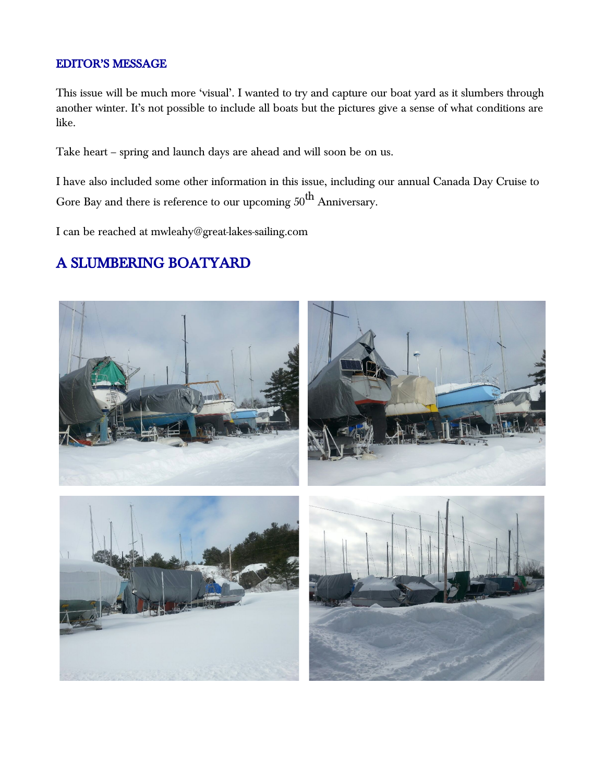#### EDITOR'S MESSAGE

This issue will be much more 'visual'. I wanted to try and capture our boat yard as it slumbers through another winter. It's not possible to include all boats but the pictures give a sense of what conditions are like.

Take heart – spring and launch days are ahead and will soon be on us.

I have also included some other information in this issue, including our annual Canada Day Cruise to Gore Bay and there is reference to our upcoming  $50^{th}$  Anniversary.

I can be reached at mwleahy@great-lakes-sailing.com

#### A SLUMBERING BOATYARD

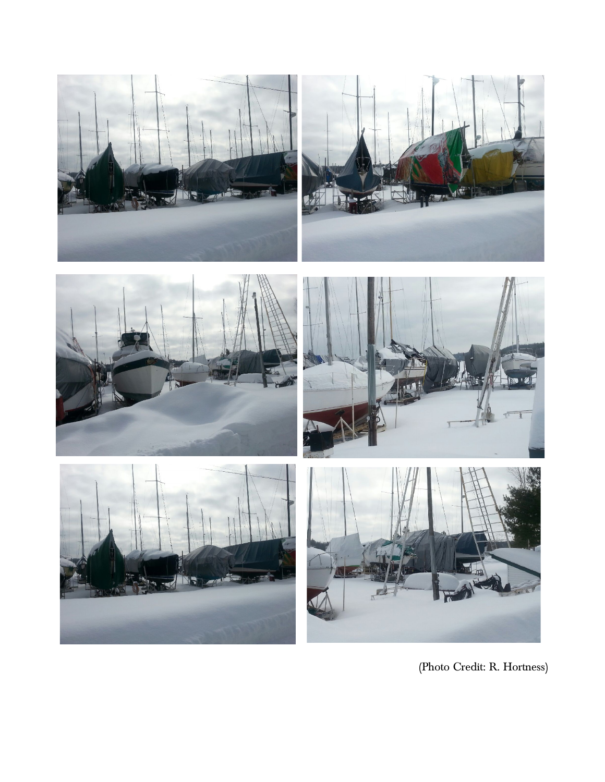





(Photo Credit: R. Hortness)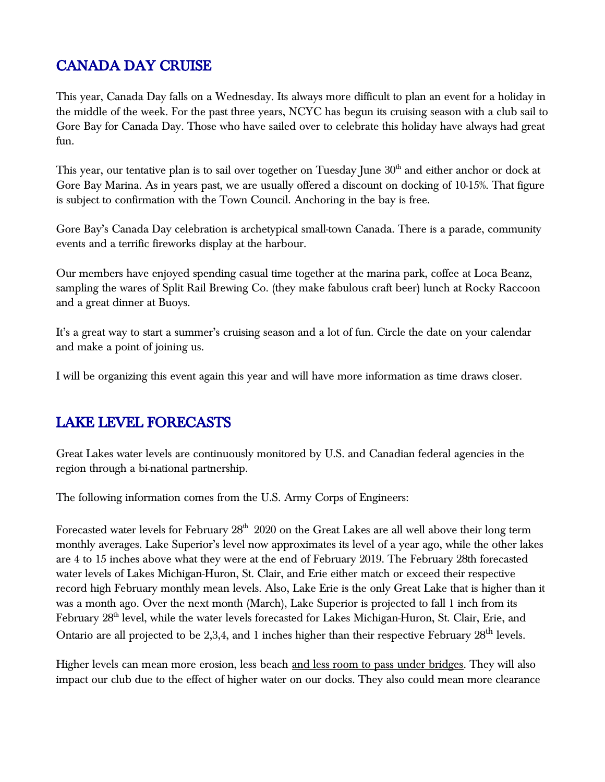## CANADA DAY CRUISE

This year, Canada Day falls on a Wednesday. Its always more difficult to plan an event for a holiday in the middle of the week. For the past three years, NCYC has begun its cruising season with a club sail to Gore Bay for Canada Day. Those who have sailed over to celebrate this holiday have always had great fun.

This year, our tentative plan is to sail over together on Tuesday June  $30<sup>th</sup>$  and either anchor or dock at Gore Bay Marina. As in years past, we are usually offered a discount on docking of 10-15%. That figure is subject to confirmation with the Town Council. Anchoring in the bay is free.

Gore Bay's Canada Day celebration is archetypical small-town Canada. There is a parade, community events and a terrific fireworks display at the harbour.

Our members have enjoyed spending casual time together at the marina park, coffee at Loca Beanz, sampling the wares of Split Rail Brewing Co. (they make fabulous craft beer) lunch at Rocky Raccoon and a great dinner at Buoys.

It's a great way to start a summer's cruising season and a lot of fun. Circle the date on your calendar and make a point of joining us.

I will be organizing this event again this year and will have more information as time draws closer.

#### LAKE LEVEL FORECASTS

Great Lakes water levels are continuously monitored by U.S. and Canadian federal agencies in the region through a bi-national partnership.

The following information comes from the U.S. Army Corps of Engineers:

Forecasted water levels for February  $28<sup>th</sup> 2020$  on the Great Lakes are all well above their long term monthly averages. Lake Superior's level now approximates its level of a year ago, while the other lakes are 4 to 15 inches above what they were at the end of February 2019. The February 28th forecasted water levels of Lakes Michigan-Huron, St. Clair, and Erie either match or exceed their respective record high February monthly mean levels. Also, Lake Erie is the only Great Lake that is higher than it was a month ago. Over the next month (March), Lake Superior is projected to fall 1 inch from its February 28<sup>th</sup> level, while the water levels forecasted for Lakes Michigan-Huron, St. Clair, Erie, and Ontario are all projected to be 2,3,4, and 1 inches higher than their respective February 28<sup>th</sup> levels.

Higher levels can mean more erosion, less beach and less room to pass under bridges. They will also impact our club due to the effect of higher water on our docks. They also could mean more clearance